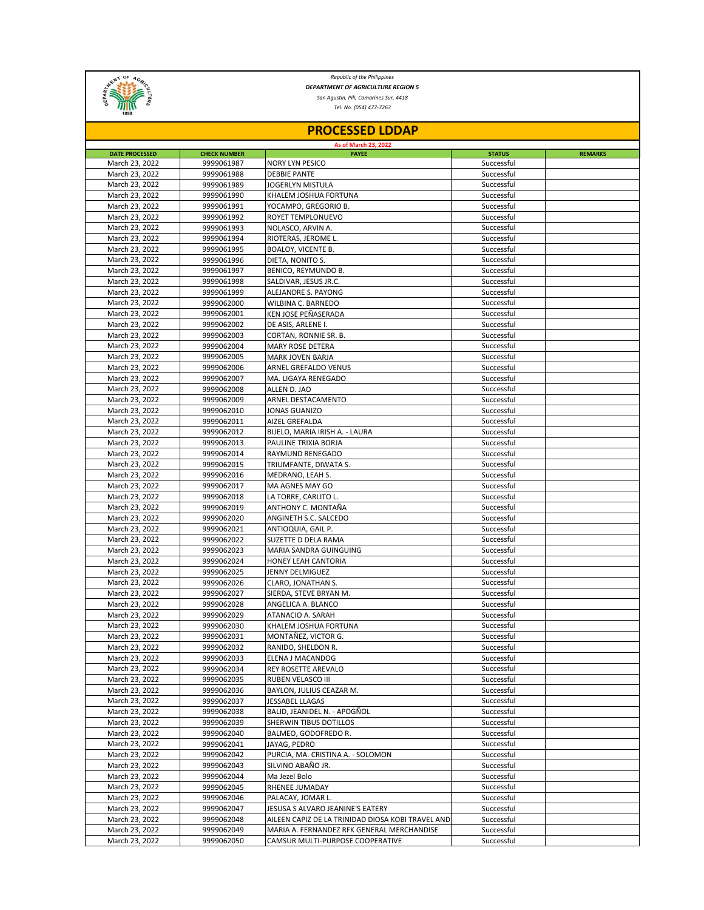

*Republic of the Philippines DEPARTMENT OF AGRICULTURE REGION 5*

*San Agustin, Pili, Camarines Sur, 4418*

*Tel. No. (054) 477-7263*

| <b>PROCESSED LDDAP</b>           |                          |                                                   |                          |                |  |  |  |
|----------------------------------|--------------------------|---------------------------------------------------|--------------------------|----------------|--|--|--|
| As of March 23, 2022             |                          |                                                   |                          |                |  |  |  |
| <b>DATE PROCESSED</b>            | <b>CHECK NUMBER</b>      | <b>PAYEE</b>                                      | <b>STATUS</b>            | <b>REMARKS</b> |  |  |  |
| March 23, 2022                   | 9999061987<br>9999061988 | <b>NORY LYN PESICO</b>                            | Successful<br>Successful |                |  |  |  |
| March 23, 2022<br>March 23, 2022 | 9999061989               | <b>DEBBIE PANTE</b><br>JOGERLYN MISTULA           | Successful               |                |  |  |  |
| March 23, 2022                   | 9999061990               | KHALEM JOSHUA FORTUNA                             | Successful               |                |  |  |  |
| March 23, 2022                   | 9999061991               | YOCAMPO, GREGORIO B.                              | Successful               |                |  |  |  |
| March 23, 2022                   | 9999061992               | ROYET TEMPLONUEVO                                 | Successful               |                |  |  |  |
| March 23, 2022                   | 9999061993               | NOLASCO, ARVIN A.                                 | Successful               |                |  |  |  |
| March 23, 2022                   | 9999061994               | RIOTERAS, JEROME L.                               | Successful               |                |  |  |  |
| March 23, 2022                   | 9999061995               | <b>BOALOY, VICENTE B.</b>                         | Successful               |                |  |  |  |
| March 23, 2022                   | 9999061996               | DIETA, NONITO S.                                  | Successful               |                |  |  |  |
| March 23, 2022                   | 9999061997               | BENICO, REYMUNDO B.                               | Successful               |                |  |  |  |
| March 23, 2022                   | 9999061998               | SALDIVAR, JESUS JR.C.                             | Successful               |                |  |  |  |
| March 23, 2022                   | 9999061999               | ALEJANDRE S. PAYONG                               | Successful               |                |  |  |  |
| March 23, 2022                   | 9999062000               | WILBINA C. BARNEDO                                | Successful               |                |  |  |  |
| March 23, 2022                   | 9999062001               | KEN JOSE PEÑASERADA                               | Successful               |                |  |  |  |
| March 23, 2022                   | 9999062002               | DE ASIS, ARLENE I.                                | Successful               |                |  |  |  |
| March 23, 2022<br>March 23, 2022 | 9999062003               | CORTAN, RONNIE SR. B.                             | Successful<br>Successful |                |  |  |  |
|                                  | 9999062004               | MARY ROSE DETERA                                  | Successful               |                |  |  |  |
| March 23, 2022<br>March 23, 2022 | 9999062005<br>9999062006 | MARK JOVEN BARJA<br>ARNEL GREFALDO VENUS          | Successful               |                |  |  |  |
| March 23, 2022                   | 9999062007               | MA. LIGAYA RENEGADO                               | Successful               |                |  |  |  |
| March 23, 2022                   | 9999062008               | ALLEN D. JAO                                      | Successful               |                |  |  |  |
| March 23, 2022                   | 9999062009               | ARNEL DESTACAMENTO                                | Successful               |                |  |  |  |
| March 23, 2022                   | 9999062010               | JONAS GUANIZO                                     | Successful               |                |  |  |  |
| March 23, 2022                   | 9999062011               | AIZEL GREFALDA                                    | Successful               |                |  |  |  |
| March 23, 2022                   | 9999062012               | BUELO, MARIA IRISH A. - LAURA                     | Successful               |                |  |  |  |
| March 23, 2022                   | 9999062013               | PAULINE TRIXIA BORJA                              | Successful               |                |  |  |  |
| March 23, 2022                   | 9999062014               | <b>RAYMUND RENEGADO</b>                           | Successful               |                |  |  |  |
| March 23, 2022                   | 9999062015               | TRIUMFANTE, DIWATA S.                             | Successful               |                |  |  |  |
| March 23, 2022                   | 9999062016               | MEDRANO, LEAH S.                                  | Successful               |                |  |  |  |
| March 23, 2022                   | 9999062017               | MA AGNES MAY GO                                   | Successful               |                |  |  |  |
| March 23, 2022                   | 9999062018               | LA TORRE, CARLITO L.                              | Successful               |                |  |  |  |
| March 23, 2022                   | 9999062019               | ANTHONY C. MONTAÑA                                | Successful               |                |  |  |  |
| March 23, 2022                   | 9999062020               | ANGINETH S.C. SALCEDO                             | Successful               |                |  |  |  |
| March 23, 2022<br>March 23, 2022 | 9999062021<br>9999062022 | ANTIOQUIA, GAIL P.<br>SUZETTE D DELA RAMA         | Successful<br>Successful |                |  |  |  |
| March 23, 2022                   | 9999062023               | MARIA SANDRA GUINGUING                            | Successful               |                |  |  |  |
| March 23, 2022                   | 9999062024               | <b>HONEY LEAH CANTORIA</b>                        | Successful               |                |  |  |  |
| March 23, 2022                   | 9999062025               | JENNY DELMIGUEZ                                   | Successful               |                |  |  |  |
| March 23, 2022                   | 9999062026               | CLARO, JONATHAN S.                                | Successful               |                |  |  |  |
| March 23, 2022                   | 9999062027               | SIERDA, STEVE BRYAN M.                            | Successful               |                |  |  |  |
| March 23, 2022                   | 9999062028               | ANGELICA A. BLANCO                                | Successful               |                |  |  |  |
| March 23, 2022                   | 9999062029               | ATANACIO A. SARAH                                 | Successful               |                |  |  |  |
| March 23, 2022                   | 9999062030               | KHALEM JOSHUA FORTUNA                             | Successful               |                |  |  |  |
| March 23, 2022                   | 9999062031               | MONTAÑEZ, VICTOR G.                               | Successful               |                |  |  |  |
| March 23, 2022                   | 9999062032               | RANIDO, SHELDON R.                                | Successful               |                |  |  |  |
| March 23, 2022                   | 9999062033               | ELENA J MACANDOG                                  | Successful               |                |  |  |  |
| March 23, 2022                   | 9999062034               | REY ROSETTE AREVALO                               | Successful               |                |  |  |  |
| March 23, 2022                   | 9999062035               | RUBEN VELASCO III                                 | Successful               |                |  |  |  |
| March 23, 2022                   | 9999062036               | BAYLON, JULIUS CEAZAR M.                          | Successful               |                |  |  |  |
| March 23, 2022                   | 9999062037               | JESSABEL LLAGAS                                   | Successful               |                |  |  |  |
| March 23, 2022                   | 9999062038               | BALID, JEANIDEL N. - APOGÑOL                      | Successful               |                |  |  |  |
| March 23, 2022<br>March 23, 2022 | 9999062039<br>9999062040 | SHERWIN TIBUS DOTILLOS<br>BALMEO, GODOFREDO R.    | Successful<br>Successful |                |  |  |  |
| March 23, 2022                   | 9999062041               | JAYAG, PEDRO                                      | Successful               |                |  |  |  |
| March 23, 2022                   | 9999062042               | PURCIA, MA. CRISTINA A. - SOLOMON                 | Successful               |                |  |  |  |
| March 23, 2022                   | 9999062043               | SILVINO ABAÑO JR.                                 | Successful               |                |  |  |  |
| March 23, 2022                   | 9999062044               | Ma Jezel Bolo                                     | Successful               |                |  |  |  |
| March 23, 2022                   | 9999062045               | RHENEE JUMADAY                                    | Successful               |                |  |  |  |
| March 23, 2022                   | 9999062046               | PALACAY, JOMAR L.                                 | Successful               |                |  |  |  |
| March 23, 2022                   | 9999062047               | JESUSA S ALVARO JEANINE'S EATERY                  | Successful               |                |  |  |  |
| March 23, 2022                   | 9999062048               | AILEEN CAPIZ DE LA TRINIDAD DIOSA KOBI TRAVEL AND | Successful               |                |  |  |  |
| March 23, 2022                   | 9999062049               | MARIA A. FERNANDEZ RFK GENERAL MERCHANDISE        | Successful               |                |  |  |  |
| March 23, 2022                   | 9999062050               | CAMSUR MULTI-PURPOSE COOPERATIVE                  | Successful               |                |  |  |  |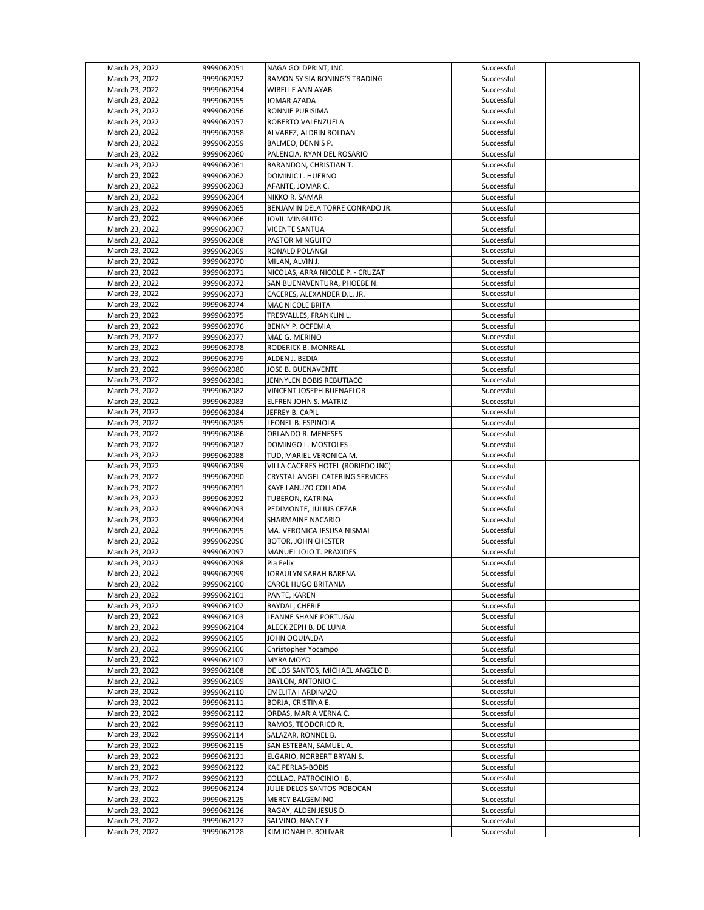| March 23, 2022 | 9999062051 | NAGA GOLDPRINT, INC.              | Successful |  |
|----------------|------------|-----------------------------------|------------|--|
| March 23, 2022 | 9999062052 | RAMON SY SIA BONING'S TRADING     | Successful |  |
|                |            |                                   |            |  |
| March 23, 2022 | 9999062054 | WIBELLE ANN AYAB                  | Successful |  |
| March 23, 2022 | 9999062055 | JOMAR AZADA                       | Successful |  |
| March 23, 2022 | 9999062056 | RONNIE PURISIMA                   | Successful |  |
| March 23, 2022 | 9999062057 | ROBERTO VALENZUELA                | Successful |  |
| March 23, 2022 | 9999062058 | ALVAREZ, ALDRIN ROLDAN            | Successful |  |
| March 23, 2022 | 9999062059 | BALMEO, DENNIS P.                 | Successful |  |
|                |            |                                   |            |  |
| March 23, 2022 | 9999062060 | PALENCIA, RYAN DEL ROSARIO        | Successful |  |
| March 23, 2022 | 9999062061 | BARANDON, CHRISTIAN T.            | Successful |  |
| March 23, 2022 | 9999062062 | DOMINIC L. HUERNO                 | Successful |  |
| March 23, 2022 | 9999062063 | AFANTE, JOMAR C.                  | Successful |  |
| March 23, 2022 | 9999062064 | NIKKO R. SAMAR                    | Successful |  |
|                |            |                                   |            |  |
| March 23, 2022 | 9999062065 | BENJAMIN DELA TORRE CONRADO JR.   | Successful |  |
| March 23, 2022 | 9999062066 | JOVIL MINGUITO                    | Successful |  |
| March 23, 2022 | 9999062067 | <b>VICENTE SANTUA</b>             | Successful |  |
| March 23, 2022 | 9999062068 | <b>PASTOR MINGUITO</b>            | Successful |  |
| March 23, 2022 | 9999062069 | RONALD POLANGI                    | Successful |  |
| March 23, 2022 | 9999062070 | MILAN, ALVIN J.                   | Successful |  |
| March 23, 2022 | 9999062071 | NICOLAS, ARRA NICOLE P. - CRUZAT  | Successful |  |
|                |            |                                   |            |  |
| March 23, 2022 | 9999062072 | SAN BUENAVENTURA, PHOEBE N.       | Successful |  |
| March 23, 2022 | 9999062073 | CACERES, ALEXANDER D.L. JR.       | Successful |  |
| March 23, 2022 | 9999062074 | MAC NICOLE BRITA                  | Successful |  |
| March 23, 2022 | 9999062075 | TRESVALLES, FRANKLIN L.           | Successful |  |
| March 23, 2022 | 9999062076 | BENNY P. OCFEMIA                  | Successful |  |
| March 23, 2022 |            | MAE G. MERINO                     | Successful |  |
|                | 9999062077 |                                   |            |  |
| March 23, 2022 | 9999062078 | RODERICK B. MONREAL               | Successful |  |
| March 23, 2022 | 9999062079 | ALDEN J. BEDIA                    | Successful |  |
| March 23, 2022 | 9999062080 | JOSE B. BUENAVENTE                | Successful |  |
| March 23, 2022 | 9999062081 | JENNYLEN BOBIS REBUTIACO          | Successful |  |
| March 23, 2022 | 9999062082 | VINCENT JOSEPH BUENAFLOR          | Successful |  |
|                |            |                                   |            |  |
| March 23, 2022 | 9999062083 | ELFREN JOHN S. MATRIZ             | Successful |  |
| March 23, 2022 | 9999062084 | JEFREY B. CAPIL                   | Successful |  |
| March 23, 2022 | 9999062085 | LEONEL B. ESPINOLA                | Successful |  |
| March 23, 2022 | 9999062086 | ORLANDO R. MENESES                | Successful |  |
| March 23, 2022 | 9999062087 | DOMINGO L. MOSTOLES               | Successful |  |
| March 23, 2022 | 9999062088 | TUD, MARIEL VERONICA M.           | Successful |  |
|                |            |                                   |            |  |
| March 23, 2022 | 9999062089 | VILLA CACERES HOTEL (ROBIEDO INC) | Successful |  |
| March 23, 2022 | 9999062090 | CRYSTAL ANGEL CATERING SERVICES   | Successful |  |
| March 23, 2022 | 9999062091 | KAYE LANUZO COLLADA               | Successful |  |
| March 23, 2022 | 9999062092 | TUBERON, KATRINA                  | Successful |  |
| March 23, 2022 | 9999062093 | PEDIMONTE, JULIUS CEZAR           | Successful |  |
|                |            |                                   |            |  |
| March 23, 2022 | 9999062094 | <b>SHARMAINE NACARIO</b>          | Successful |  |
| March 23, 2022 | 9999062095 | MA. VERONICA JESUSA NISMAL        | Successful |  |
| March 23, 2022 | 9999062096 | BOTOR, JOHN CHESTER               | Successful |  |
| March 23, 2022 | 9999062097 | MANUEL JOJO T. PRAXIDES           | Successful |  |
| March 23, 2022 | 9999062098 | Pia Felix                         | Successful |  |
| March 23, 2022 | 9999062099 | JORAULYN SARAH BARENA             | Successful |  |
|                |            |                                   |            |  |
| March 23, 2022 | 9999062100 | <b>CAROL HUGO BRITANIA</b>        | Successful |  |
| March 23, 2022 | 9999062101 | PANTE, KAREN                      | Successful |  |
| March 23, 2022 | 9999062102 | BAYDAL, CHERIE                    | Successful |  |
| March 23, 2022 | 9999062103 | LEANNE SHANE PORTUGAL             | Successful |  |
| March 23, 2022 | 9999062104 | ALECK ZEPH B. DE LUNA             | Successful |  |
| March 23, 2022 | 9999062105 |                                   | Successful |  |
|                |            | JOHN OQUIALDA                     |            |  |
| March 23, 2022 | 9999062106 | Christopher Yocampo               | Successful |  |
| March 23, 2022 | 9999062107 | MYRA MOYO                         | Successful |  |
| March 23, 2022 | 9999062108 | DE LOS SANTOS, MICHAEL ANGELO B.  | Successful |  |
| March 23, 2022 | 9999062109 | BAYLON, ANTONIO C.                | Successful |  |
| March 23, 2022 | 9999062110 | EMELITA I ARDINAZO                | Successful |  |
|                | 9999062111 |                                   |            |  |
| March 23, 2022 |            | BORJA, CRISTINA E.                | Successful |  |
| March 23, 2022 | 9999062112 | ORDAS, MARIA VERNA C.             | Successful |  |
| March 23, 2022 | 9999062113 | RAMOS, TEODORICO R.               | Successful |  |
| March 23, 2022 | 9999062114 | SALAZAR, RONNEL B.                | Successful |  |
| March 23, 2022 | 9999062115 | SAN ESTEBAN, SAMUEL A.            | Successful |  |
| March 23, 2022 | 9999062121 | ELGARIO, NORBERT BRYAN S.         | Successful |  |
|                |            |                                   |            |  |
| March 23, 2022 | 9999062122 | <b>KAE PERLAS-BOBIS</b>           | Successful |  |
| March 23, 2022 | 9999062123 | COLLAO, PATROCINIO I B.           | Successful |  |
| March 23, 2022 | 9999062124 | JULIE DELOS SANTOS POBOCAN        | Successful |  |
| March 23, 2022 | 9999062125 | MERCY BALGEMINO                   | Successful |  |
| March 23, 2022 | 9999062126 | RAGAY, ALDEN JESUS D.             | Successful |  |
|                |            |                                   |            |  |
| March 23, 2022 | 9999062127 | SALVINO, NANCY F.                 | Successful |  |
| March 23, 2022 | 9999062128 | KIM JONAH P. BOLIVAR              | Successful |  |